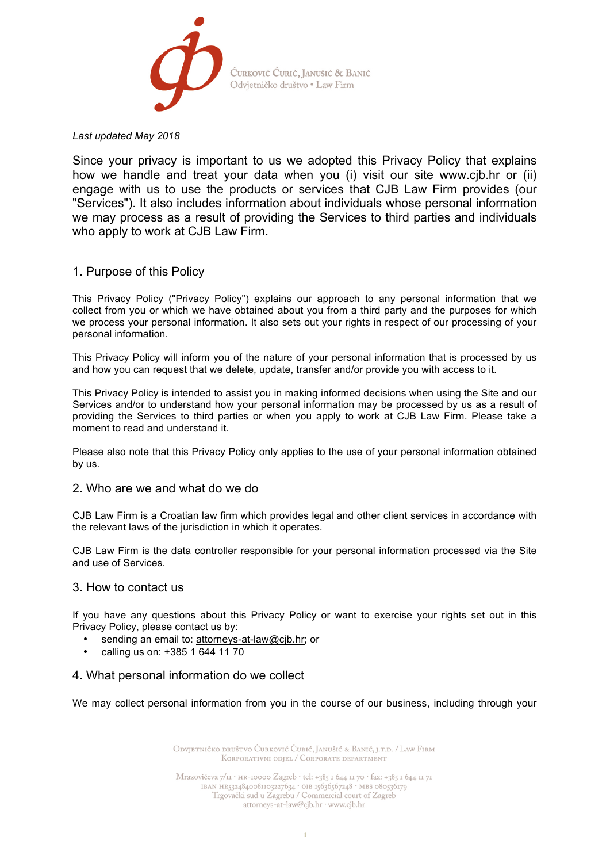

*Last updated May 2018*

Since your privacy is important to us we adopted this Privacy Policy that explains how we handle and treat your data when you (i) visit our site www.cjb.hr or (ii) engage with us to use the products or services that CJB Law Firm provides (our "Services"). It also includes information about individuals whose personal information we may process as a result of providing the Services to third parties and individuals who apply to work at CJB Law Firm.

# 1. Purpose of this Policy

This Privacy Policy ("Privacy Policy") explains our approach to any personal information that we collect from you or which we have obtained about you from a third party and the purposes for which we process your personal information. It also sets out your rights in respect of our processing of your personal information.

This Privacy Policy will inform you of the nature of your personal information that is processed by us and how you can request that we delete, update, transfer and/or provide you with access to it.

This Privacy Policy is intended to assist you in making informed decisions when using the Site and our Services and/or to understand how your personal information may be processed by us as a result of providing the Services to third parties or when you apply to work at CJB Law Firm. Please take a moment to read and understand it.

Please also note that this Privacy Policy only applies to the use of your personal information obtained by us.

## 2. Who are we and what do we do

CJB Law Firm is a Croatian law firm which provides legal and other client services in accordance with the relevant laws of the jurisdiction in which it operates.

CJB Law Firm is the data controller responsible for your personal information processed via the Site and use of Services.

## 3. How to contact us

If you have any questions about this Privacy Policy or want to exercise your rights set out in this Privacy Policy, please contact us by:

- sending an email to: attorneys-at-law@cjb.hr; or
- calling us on: +385 1 644 11 70

## 4. What personal information do we collect

We may collect personal information from you in the course of our business, including through your

ODVIETNIČKO DRUŠTVO ĆURKOVIĆ ĆURIĆ, JANUŠIĆ & BANIĆ, I.T.D. / LAW FIRM KORPORATIVNI ODJEL / CORPORATE DEPARTMENT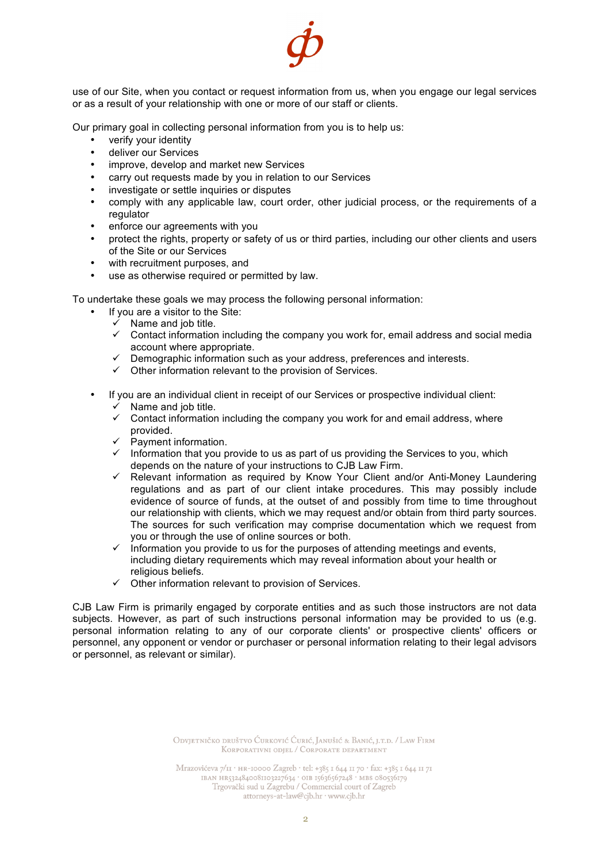

use of our Site, when you contact or request information from us, when you engage our legal services or as a result of your relationship with one or more of our staff or clients.

Our primary goal in collecting personal information from you is to help us:

- verify your identity
- deliver our Services
- improve, develop and market new Services
- carry out requests made by you in relation to our Services
- investigate or settle inquiries or disputes
- comply with any applicable law, court order, other judicial process, or the requirements of a regulator
- enforce our agreements with you
- protect the rights, property or safety of us or third parties, including our other clients and users of the Site or our Services
- with recruitment purposes, and
- use as otherwise required or permitted by law.

To undertake these goals we may process the following personal information:

- If you are a visitor to the Site:
	- $\overline{v}$  Name and job title.
	- $\checkmark$  Contact information including the company you work for, email address and social media account where appropriate.
	- $\checkmark$  Demographic information such as your address, preferences and interests.
	- $\checkmark$  Other information relevant to the provision of Services.
- If you are an individual client in receipt of our Services or prospective individual client:  $\checkmark$  Name and job title.
	- $\checkmark$  Contact information including the company you work for and email address, where provided.
	- $\checkmark$  Payment information.
	- $\checkmark$  Information that you provide to us as part of us providing the Services to you, which depends on the nature of your instructions to CJB Law Firm.
	- $\checkmark$  Relevant information as required by Know Your Client and/or Anti-Money Laundering regulations and as part of our client intake procedures. This may possibly include evidence of source of funds, at the outset of and possibly from time to time throughout our relationship with clients, which we may request and/or obtain from third party sources. The sources for such verification may comprise documentation which we request from you or through the use of online sources or both.
	- $\checkmark$  Information you provide to us for the purposes of attending meetings and events, including dietary requirements which may reveal information about your health or religious beliefs.
	- $\checkmark$  Other information relevant to provision of Services.

CJB Law Firm is primarily engaged by corporate entities and as such those instructors are not data subjects. However, as part of such instructions personal information may be provided to us (e.g. personal information relating to any of our corporate clients' or prospective clients' officers or personnel, any opponent or vendor or purchaser or personal information relating to their legal advisors or personnel, as relevant or similar).

> ODVJETNIČKO DRUŠTVO ĆURKOVIĆ ĆURIĆ, JANUŠIĆ & BANIĆ, J.T.D. / LAW FIRM KORPORATIVNI ODJEL / CORPORATE DEPARTMENT

Mrazovićeva 7/11 · HR-10000 Zagreb · tel: +385 1 644 11 70 · fax: +385 1 644 11 71  $\begin{array}{l} \text{IBAN} \text{ HR}324840081103227634 \text{ } \cdot \text{OIB} \text{ } 15636567248 \text{ } \cdot \text{MB8} \text{ } 080536179 \\ \text{Trgovački sud u Zagrebu / Commercial court of Zagreb} \end{array}$ attorneys-at-law@cjb.hr · www.cjb.hr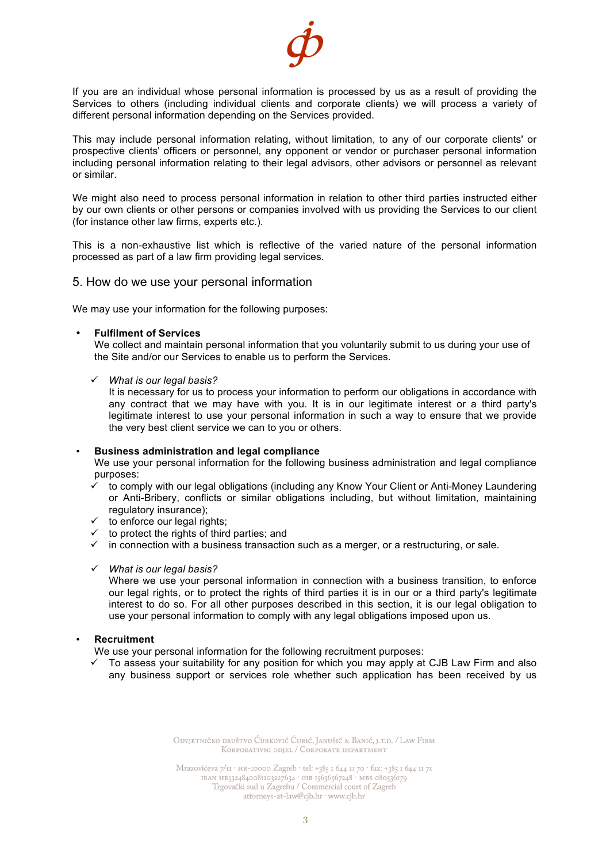

If you are an individual whose personal information is processed by us as a result of providing the Services to others (including individual clients and corporate clients) we will process a variety of different personal information depending on the Services provided.

This may include personal information relating, without limitation, to any of our corporate clients' or prospective clients' officers or personnel, any opponent or vendor or purchaser personal information including personal information relating to their legal advisors, other advisors or personnel as relevant or similar.

We might also need to process personal information in relation to other third parties instructed either by our own clients or other persons or companies involved with us providing the Services to our client (for instance other law firms, experts etc.).

This is a non-exhaustive list which is reflective of the varied nature of the personal information processed as part of a law firm providing legal services.

# 5. How do we use your personal information

We may use your information for the following purposes:

#### • **Fulfilment of Services**

We collect and maintain personal information that you voluntarily submit to us during your use of the Site and/or our Services to enable us to perform the Services.

ü *What is our legal basis?*

It is necessary for us to process your information to perform our obligations in accordance with any contract that we may have with you. It is in our legitimate interest or a third party's legitimate interest to use your personal information in such a way to ensure that we provide the very best client service we can to you or others.

#### • **Business administration and legal compliance**

We use your personal information for the following business administration and legal compliance purposes:

- $\checkmark$  to comply with our legal obligations (including any Know Your Client or Anti-Money Laundering or Anti-Bribery, conflicts or similar obligations including, but without limitation, maintaining regulatory insurance);
- $\checkmark$  to enforce our legal rights;
- $\checkmark$  to protect the rights of third parties; and
- $\checkmark$  in connection with a business transaction such as a merger, or a restructuring, or sale.
- ü *What is our legal basis?*

Where we use your personal information in connection with a business transition, to enforce our legal rights, or to protect the rights of third parties it is in our or a third party's legitimate interest to do so. For all other purposes described in this section, it is our legal obligation to use your personal information to comply with any legal obligations imposed upon us.

#### • **Recruitment**

We use your personal information for the following recruitment purposes:

 $\checkmark$  To assess your suitability for any position for which you may apply at CJB Law Firm and also any business support or services role whether such application has been received by us

> ODVJETNIČKO DRUŠTVO ĆURKOVIĆ ĆURIĆ, JANUŠIĆ & BANIĆ, J.T.D. / LAW FIRM KORPORATIVNI ODJEL / CORPORATE DEPARTMENT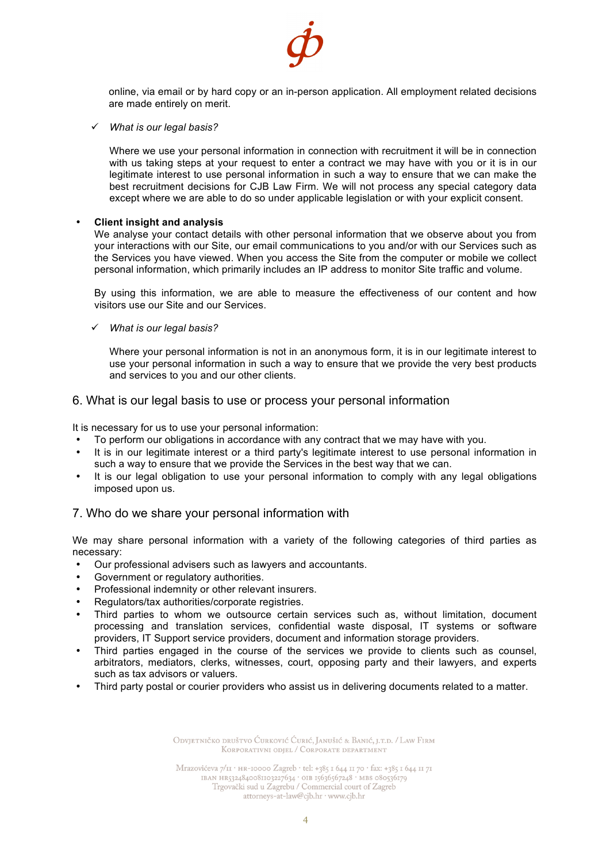

online, via email or by hard copy or an in-person application. All employment related decisions are made entirely on merit.

ü *What is our legal basis?*

Where we use your personal information in connection with recruitment it will be in connection with us taking steps at your request to enter a contract we may have with you or it is in our legitimate interest to use personal information in such a way to ensure that we can make the best recruitment decisions for CJB Law Firm. We will not process any special category data except where we are able to do so under applicable legislation or with your explicit consent.

#### • **Client insight and analysis**

We analyse your contact details with other personal information that we observe about you from your interactions with our Site, our email communications to you and/or with our Services such as the Services you have viewed. When you access the Site from the computer or mobile we collect personal information, which primarily includes an IP address to monitor Site traffic and volume.

By using this information, we are able to measure the effectiveness of our content and how visitors use our Site and our Services.

ü *What is our legal basis?*

Where your personal information is not in an anonymous form, it is in our legitimate interest to use your personal information in such a way to ensure that we provide the very best products and services to you and our other clients.

#### 6. What is our legal basis to use or process your personal information

It is necessary for us to use your personal information:

- To perform our obligations in accordance with any contract that we may have with you.
- It is in our legitimate interest or a third party's legitimate interest to use personal information in such a way to ensure that we provide the Services in the best way that we can.
- It is our legal obligation to use your personal information to comply with any legal obligations imposed upon us.

## 7. Who do we share your personal information with

We may share personal information with a variety of the following categories of third parties as necessary:

- Our professional advisers such as lawyers and accountants.
- Government or regulatory authorities.
- Professional indemnity or other relevant insurers.
- Regulators/tax authorities/corporate registries.
- Third parties to whom we outsource certain services such as, without limitation, document processing and translation services, confidential waste disposal, IT systems or software providers, IT Support service providers, document and information storage providers.
- Third parties engaged in the course of the services we provide to clients such as counsel, arbitrators, mediators, clerks, witnesses, court, opposing party and their lawyers, and experts such as tax advisors or valuers.
- Third party postal or courier providers who assist us in delivering documents related to a matter.

ODVJETNIČKO DRUŠTVO ĆURKOVIĆ ĆURIĆ, JANUŠIĆ & BANIĆ, J.T.D. / LAW FIRM KORPORATIVNI ODJEL / CORPORATE DEPARTMENT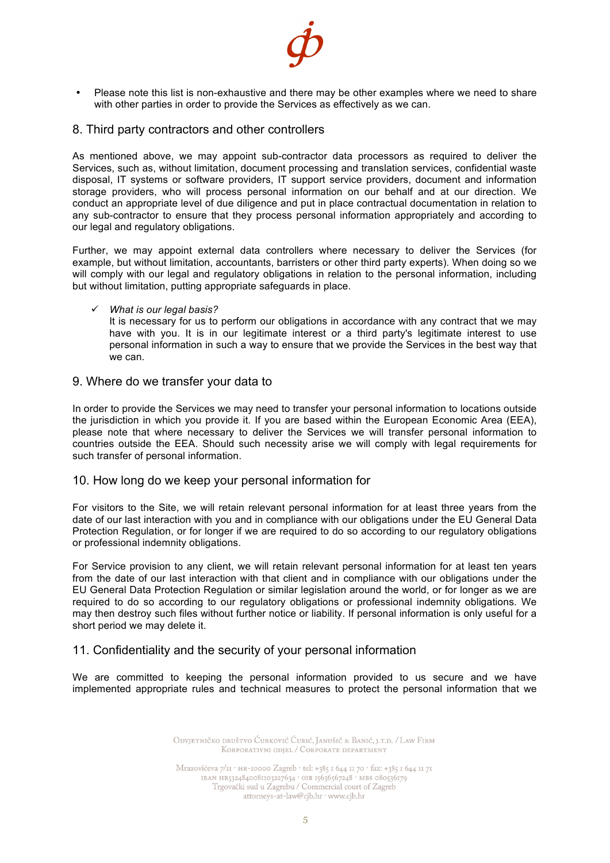

• Please note this list is non-exhaustive and there may be other examples where we need to share with other parties in order to provide the Services as effectively as we can.

## 8. Third party contractors and other controllers

As mentioned above, we may appoint sub-contractor data processors as required to deliver the Services, such as, without limitation, document processing and translation services, confidential waste disposal, IT systems or software providers, IT support service providers, document and information storage providers, who will process personal information on our behalf and at our direction. We conduct an appropriate level of due diligence and put in place contractual documentation in relation to any sub-contractor to ensure that they process personal information appropriately and according to our legal and regulatory obligations.

Further, we may appoint external data controllers where necessary to deliver the Services (for example, but without limitation, accountants, barristers or other third party experts). When doing so we will comply with our legal and regulatory obligations in relation to the personal information, including but without limitation, putting appropriate safeguards in place.

#### ü *What is our legal basis?*

It is necessary for us to perform our obligations in accordance with any contract that we may have with you. It is in our legitimate interest or a third party's legitimate interest to use personal information in such a way to ensure that we provide the Services in the best way that we can.

## 9. Where do we transfer your data to

In order to provide the Services we may need to transfer your personal information to locations outside the jurisdiction in which you provide it. If you are based within the European Economic Area (EEA), please note that where necessary to deliver the Services we will transfer personal information to countries outside the EEA. Should such necessity arise we will comply with legal requirements for such transfer of personal information.

## 10. How long do we keep your personal information for

For visitors to the Site, we will retain relevant personal information for at least three years from the date of our last interaction with you and in compliance with our obligations under the EU General Data Protection Regulation, or for longer if we are required to do so according to our regulatory obligations or professional indemnity obligations.

For Service provision to any client, we will retain relevant personal information for at least ten years from the date of our last interaction with that client and in compliance with our obligations under the EU General Data Protection Regulation or similar legislation around the world, or for longer as we are required to do so according to our regulatory obligations or professional indemnity obligations. We may then destroy such files without further notice or liability. If personal information is only useful for a short period we may delete it.

## 11. Confidentiality and the security of your personal information

We are committed to keeping the personal information provided to us secure and we have implemented appropriate rules and technical measures to protect the personal information that we

> ODVJETNIČKO DRUŠTVO ĆURKOVIĆ ĆURIĆ, JANUŠIĆ & BANIĆ, J.T.D. / LAW FIRM KORPORATIVNI ODJEL / CORPORATE DEPARTMENT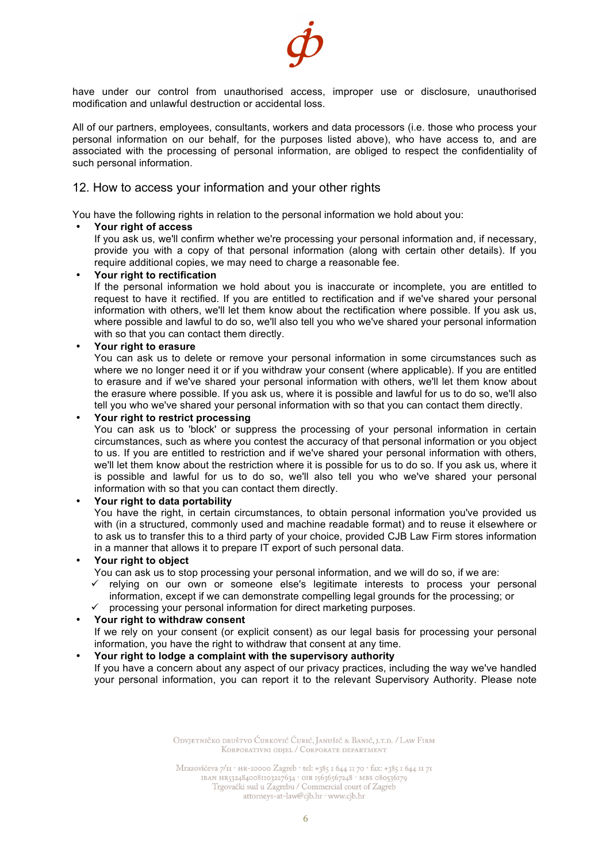

have under our control from unauthorised access, improper use or disclosure, unauthorised modification and unlawful destruction or accidental loss.

All of our partners, employees, consultants, workers and data processors (i.e. those who process your personal information on our behalf, for the purposes listed above), who have access to, and are associated with the processing of personal information, are obliged to respect the confidentiality of such personal information.

## 12. How to access your information and your other rights

You have the following rights in relation to the personal information we hold about you:

#### • **Your right of access**

If you ask us, we'll confirm whether we're processing your personal information and, if necessary, provide you with a copy of that personal information (along with certain other details). If you require additional copies, we may need to charge a reasonable fee.

#### • **Your right to rectification**

If the personal information we hold about you is inaccurate or incomplete, you are entitled to request to have it rectified. If you are entitled to rectification and if we've shared your personal information with others, we'll let them know about the rectification where possible. If you ask us, where possible and lawful to do so, we'll also tell you who we've shared your personal information with so that you can contact them directly.

#### • **Your right to erasure**

You can ask us to delete or remove your personal information in some circumstances such as where we no longer need it or if you withdraw your consent (where applicable). If you are entitled to erasure and if we've shared your personal information with others, we'll let them know about the erasure where possible. If you ask us, where it is possible and lawful for us to do so, we'll also tell you who we've shared your personal information with so that you can contact them directly.

#### • **Your right to restrict processing**

You can ask us to 'block' or suppress the processing of your personal information in certain circumstances, such as where you contest the accuracy of that personal information or you object to us. If you are entitled to restriction and if we've shared your personal information with others, we'll let them know about the restriction where it is possible for us to do so. If you ask us, where it is possible and lawful for us to do so, we'll also tell you who we've shared your personal information with so that you can contact them directly.

#### • **Your right to data portability**

You have the right, in certain circumstances, to obtain personal information you've provided us with (in a structured, commonly used and machine readable format) and to reuse it elsewhere or to ask us to transfer this to a third party of your choice, provided CJB Law Firm stores information in a manner that allows it to prepare IT export of such personal data.

## • **Your right to object**

You can ask us to stop processing your personal information, and we will do so, if we are:

- ü relying on our own or someone else's legitimate interests to process your personal information, except if we can demonstrate compelling legal grounds for the processing; or
- $\checkmark$  processing your personal information for direct marketing purposes.

## • **Your right to withdraw consent**

If we rely on your consent (or explicit consent) as our legal basis for processing your personal information, you have the right to withdraw that consent at any time.

# • **Your right to lodge a complaint with the supervisory authority**

If you have a concern about any aspect of our privacy practices, including the way we've handled your personal information, you can report it to the relevant Supervisory Authority. Please note

> ODVJETNIČKO DRUŠTVO ĆURKOVIĆ ĆURIĆ, JANUŠIĆ & BANIĆ, J.T.D. / LAW FIRM KORPORATIVNI ODJEL / CORPORATE DEPARTMENT

Mrazovićeva 7/11 · HR-10000 Zagreb · tel: +385 1 644 11 70 · fax: +385 1 644 11 71  $\begin{array}{l} \text{IBAN H85324840081103227634}\cdot \text{OIB 15636567248}\cdot \text{MB8 080536179}\\ \text{Trgovački sud u Zagrebu}\, \text{/ Commercial court of Zagreb}\, \end{array}$ attorneys-at-law@cjb.hr · www.cjb.hr